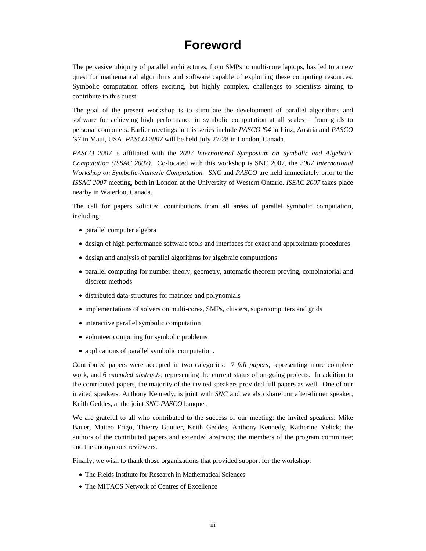## **Foreword**

The pervasive ubiquity of parallel architectures, from SMPs to multi-core laptops, has led to a new quest for mathematical algorithms and software capable of exploiting these computing resources. Symbolic computation offers exciting, but highly complex, challenges to scientists aiming to contribute to this quest.

The goal of the present workshop is to stimulate the development of parallel algorithms and software for achieving high performance in symbolic computation at all scales – from grids to personal computers. Earlier meetings in this series include *PASCO '94* in Linz, Austria and *PASCO '97* in Maui, USA. *PASCO 2007* will be held July 27-28 in London, Canada.

*PASCO 2007* is affiliated with the *2007 International Symposium on Symbolic and Algebraic Computation (ISSAC 2007)*. Co-located with this workshop is SNC 2007, the *2007 International Workshop on Symbolic-Numeric Computation. SNC* and *PASCO* are held immediately prior to the *ISSAC 2007* meeting, both in London at the University of Western Ontario. *ISSAC 2007* takes place nearby in Waterloo, Canada.

The call for papers solicited contributions from all areas of parallel symbolic computation, including:

- parallel computer algebra
- design of high performance software tools and interfaces for exact and approximate procedures
- design and analysis of parallel algorithms for algebraic computations
- parallel computing for number theory, geometry, automatic theorem proving, combinatorial and discrete methods
- distributed data-structures for matrices and polynomials
- implementations of solvers on multi-cores, SMPs, clusters, supercomputers and grids
- interactive parallel symbolic computation
- volunteer computing for symbolic problems
- applications of parallel symbolic computation.

Contributed papers were accepted in two categories: 7 *full papers*, representing more complete work, and 6 *extended abstracts,* representing the current status of on-going projects. In addition to the contributed papers, the majority of the invited speakers provided full papers as well. One of our invited speakers, Anthony Kennedy, is joint with *SNC* and we also share our after-dinner speaker, Keith Geddes, at the joint *SNC-PASCO* banquet.

We are grateful to all who contributed to the success of our meeting: the invited speakers: Mike Bauer, Matteo Frigo, Thierry Gautier, Keith Geddes, Anthony Kennedy, Katherine Yelick; the authors of the contributed papers and extended abstracts; the members of the program committee; and the anonymous reviewers.

Finally, we wish to thank those organizations that provided support for the workshop:

- The Fields Institute for Research in Mathematical Sciences
- The MITACS Network of Centres of Excellence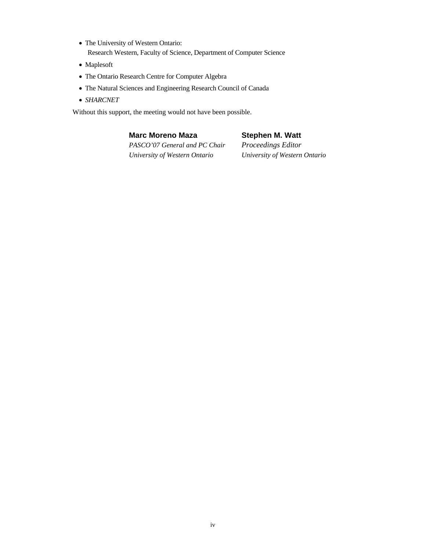- The University of Western Ontario: Research Western, Faculty of Science, Department of Computer Science
- Maplesoft
- The Ontario Research Centre for Computer Algebra
- The Natural Sciences and Engineering Research Council of Canada
- *SHARCNET*

Without this support, the meeting would not have been possible.

## **Marc Moreno Maza**

## **Stephen M. Watt**

*PASCO'07 General and PC Chair University of Western Ontario*

*Proceedings Editor University of Western Ontario*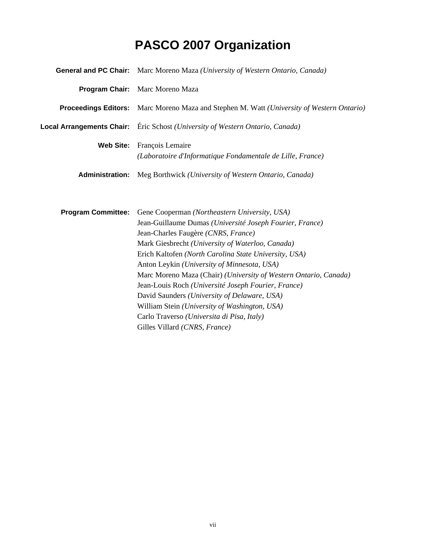## **PASCO 2007 Organization**

|                           | General and PC Chair: Marc Moreno Maza (University of Western Ontario, Canada)                   |
|---------------------------|--------------------------------------------------------------------------------------------------|
|                           | Program Chair: Marc Moreno Maza                                                                  |
|                           | <b>Proceedings Editors:</b> Marc Moreno Maza and Stephen M. Watt (University of Western Ontario) |
|                           | Local Arrangements Chair: Éric Schost (University of Western Ontario, Canada)                    |
| <b>Web Site:</b>          | François Lemaire<br>(Laboratoire d'Informatique Fondamentale de Lille, France)                   |
| <b>Administration:</b>    | Meg Borthwick (University of Western Ontario, Canada)                                            |
| <b>Program Committee:</b> | Gene Cooperman (Northeastern University, USA)                                                    |
|                           | Jean-Guillaume Dumas (Université Joseph Fourier, France)                                         |
|                           | Jean-Charles Faugère (CNRS, France)                                                              |
|                           | Mark Giesbrecht (University of Waterloo, Canada)                                                 |
|                           | Erich Kaltofen (North Carolina State University, USA)                                            |
|                           | Anton Leykin (University of Minnesota, USA)                                                      |
|                           | Marc Moreno Maza (Chair) (University of Western Ontario, Canada)                                 |
|                           | Jean-Louis Roch (Université Joseph Fourier, France)                                              |
|                           | David Saunders (University of Delaware, USA)                                                     |
|                           | William Stein (University of Washington, USA)                                                    |
|                           | Carlo Traverso (Universita di Pisa, Italy)                                                       |
|                           | Gilles Villard (CNRS, France)                                                                    |